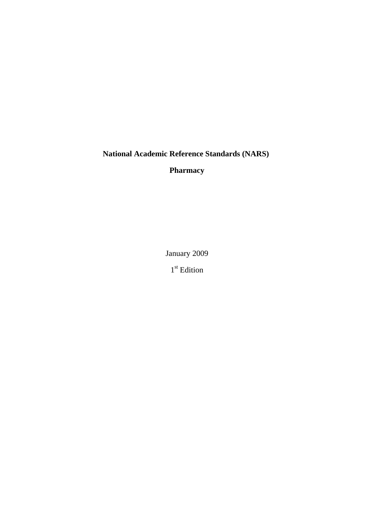**National Academic Reference Standards (NARS)** 

**Pharmacy**

January 2009

1<sup>st</sup> Edition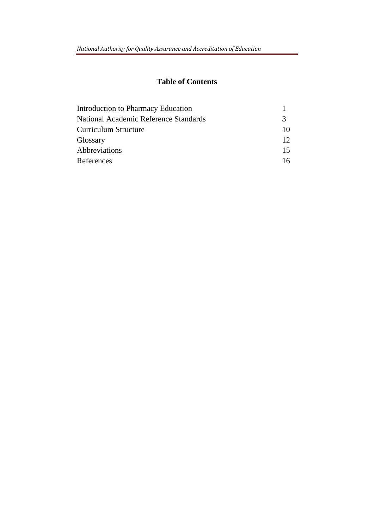# **Table of Contents**

| <b>Introduction to Pharmacy Education</b> |                 |
|-------------------------------------------|-----------------|
| National Academic Reference Standards     | $\mathcal{R}$   |
| Curriculum Structure                      | 10              |
| Glossary                                  | 12 <sup>°</sup> |
| Abbreviations                             | 15              |
| References                                | 16              |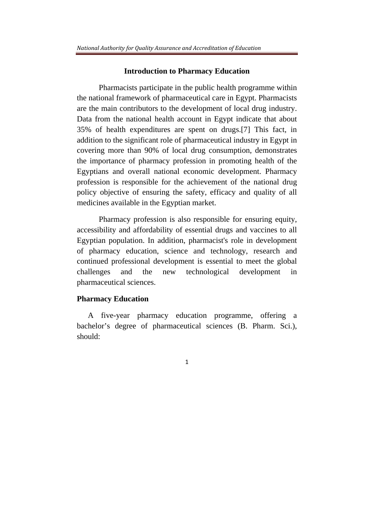#### **Introduction to Pharmacy Education**

Pharmacists participate in the public health programme within the national framework of pharmaceutical care in Egypt. Pharmacists are the main contributors to the development of local drug industry. Data from the national health account in Egypt indicate that about 35% of health expenditures are spent on drugs.[7] This fact, in addition to the significant role of pharmaceutical industry in Egypt in covering more than 90% of local drug consumption, demonstrates the importance of pharmacy profession in promoting health of the Egyptians and overall national economic development. Pharmacy profession is responsible for the achievement of the national drug policy objective of ensuring the safety, efficacy and quality of all medicines available in the Egyptian market.

Pharmacy profession is also responsible for ensuring equity, accessibility and affordability of essential drugs and vaccines to all Egyptian population. In addition, pharmacist's role in development of pharmacy education, science and technology, research and continued professional development is essential to meet the global challenges and the new technological development in pharmaceutical sciences.

### **Pharmacy Education**

A five-year pharmacy education programme, offering a bachelor's degree of pharmaceutical sciences (B. Pharm. Sci.), should: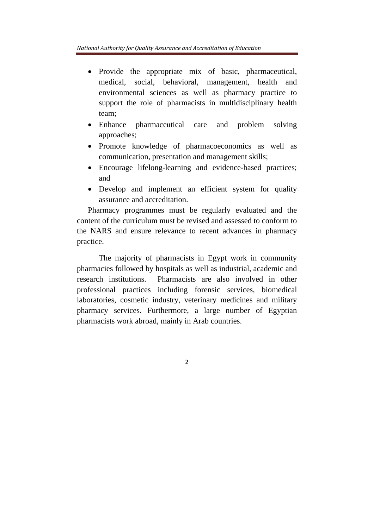- Provide the appropriate mix of basic, pharmaceutical, medical, social, behavioral, management, health and environmental sciences as well as pharmacy practice to support the role of pharmacists in multidisciplinary health team;
- Enhance pharmaceutical care and problem solving approaches;
- Promote knowledge of pharmacoeconomics as well as communication, presentation and management skills;
- Encourage lifelong-learning and evidence-based practices; and
- Develop and implement an efficient system for quality assurance and accreditation.

Pharmacy programmes must be regularly evaluated and the content of the curriculum must be revised and assessed to conform to the NARS and ensure relevance to recent advances in pharmacy practice.

The majority of pharmacists in Egypt work in community pharmacies followed by hospitals as well as industrial, academic and research institutions. Pharmacists are also involved in other professional practices including forensic services, biomedical laboratories, cosmetic industry, veterinary medicines and military pharmacy services. Furthermore, a large number of Egyptian pharmacists work abroad, mainly in Arab countries.

 $\overline{\mathcal{L}}$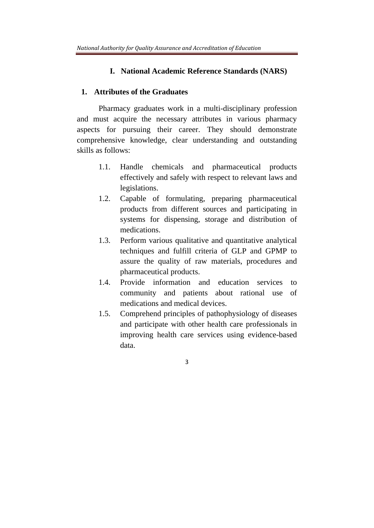## **I. National Academic Reference Standards (NARS)**

#### **1. Attributes of the Graduates**

 Pharmacy graduates work in a multi-disciplinary profession and must acquire the necessary attributes in various pharmacy aspects for pursuing their career. They should demonstrate comprehensive knowledge, clear understanding and outstanding skills as follows:

- 1.1. Handle chemicals and pharmaceutical products effectively and safely with respect to relevant laws and legislations.
- 1.2. Capable of formulating, preparing pharmaceutical products from different sources and participating in systems for dispensing, storage and distribution of medications.
- 1.3. Perform various qualitative and quantitative analytical techniques and fulfill criteria of GLP and GPMP to assure the quality of raw materials, procedures and pharmaceutical products.
- 1.4. Provide information and education services to community and patients about rational use of medications and medical devices.
- 1.5. Comprehend principles of pathophysiology of diseases and participate with other health care professionals in improving health care services using evidence-based data.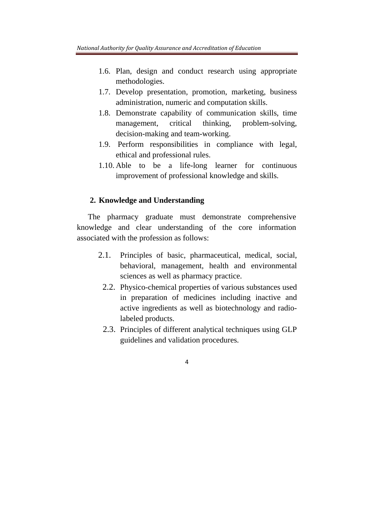- 1.6. Plan, design and conduct research using appropriate methodologies.
- 1.7. Develop presentation, promotion, marketing, business administration, numeric and computation skills.
- 1.8. Demonstrate capability of communication skills, time management, critical thinking, problem-solving, decision-making and team-working.
- 1.9. Perform responsibilities in compliance with legal, ethical and professional rules.
- 1.10. Able to be a life-long learner for continuous improvement of professional knowledge and skills.

#### **2. Knowledge and Understanding**

The pharmacy graduate must demonstrate comprehensive knowledge and clear understanding of the core information associated with the profession as follows:

- 2.1. Principles of basic, pharmaceutical, medical, social, behavioral, management, health and environmental sciences as well as pharmacy practice.
	- 2.2. Physico-chemical properties of various substances used in preparation of medicines including inactive and active ingredients as well as biotechnology and radiolabeled products.
	- 2.3. Principles of different analytical techniques using GLP guidelines and validation procedures.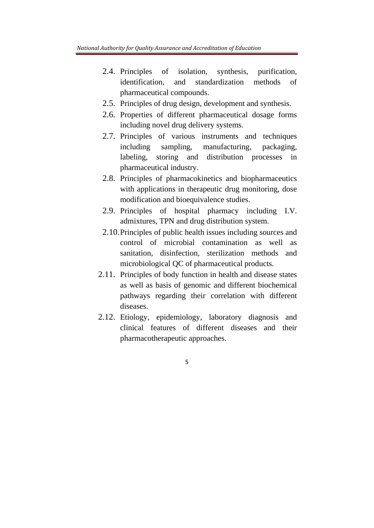- 2.4. Principles of isolation, synthesis, purification, identification, and standardization methods of pharmaceutical compounds.
- 2.5. Principles of drug design, development and synthesis.
- 2.6. Properties of different pharmaceutical dosage forms including novel drug delivery systems.
- 2.7. Principles of various instruments and techniques including sampling, manufacturing, packaging, labeling, storing and distribution processes in pharmaceutical industry.
- 2.8. Principles of pharmacokinetics and biopharmaceutics with applications in therapeutic drug monitoring, dose modification and bioequivalence studies.
- 2.9. Principles of hospital pharmacy including I.V. admixtures, TPN and drug distribution system.
- 2.10.Principles of public health issues including sources and control of microbial contamination as well as sanitation, disinfection, sterilization methods and microbiological QC of pharmaceutical products.
- 2.11. Principles of body function in health and disease states as well as basis of genomic and different biochemical pathways regarding their correlation with different diseases.
- 2.12. Etiology, epidemiology, laboratory diagnosis and clinical features of different diseases and their pharmacotherapeutic approaches.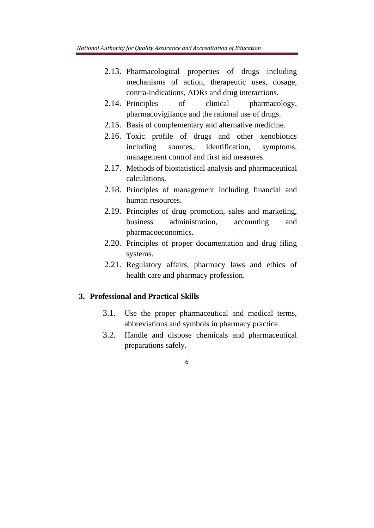- 2.13. Pharmacological properties of drugs including mechanisms of action, therapeutic uses, dosage, contra-indications, ADRs and drug interactions.
- 2.14. Principles of clinical pharmacology, pharmacovigilance and the rational use of drugs.
- 2.15. Basis of complementary and alternative medicine.
- 2.16. Toxic profile of drugs and other xenobiotics including sources, identification, symptoms, management control and first aid measures.
- 2.17. Methods of biostatistical analysis and pharmaceutical calculations.
- 2.18. Principles of management including financial and human resources.
- 2.19. Principles of drug promotion, sales and marketing, business administration, accounting and pharmacoeconomics.
- 2.20. Principles of proper documentation and drug filing systems.
- 2.21. Regulatory affairs, pharmacy laws and ethics of health care and pharmacy profession.

#### **3. Professional and Practical Skills**

- 3.1. Use the proper pharmaceutical and medical terms, abbreviations and symbols in pharmacy practice.
- 3.2. Handle and dispose chemicals and pharmaceutical preparations safely.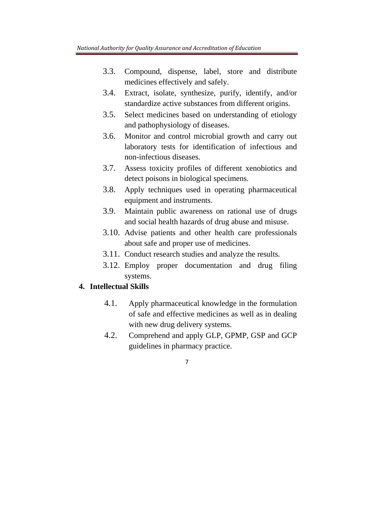- 3.3. Compound, dispense, label, store and distribute medicines effectively and safely.
- 3.4. Extract, isolate, synthesize, purify, identify, and/or standardize active substances from different origins.
- 3.5. Select medicines based on understanding of etiology and pathophysiology of diseases.
- 3.6. Monitor and control microbial growth and carry out laboratory tests for identification of infectious and non-infectious diseases.
- 3.7. Assess toxicity profiles of different xenobiotics and detect poisons in biological specimens.
- 3.8. Apply techniques used in operating pharmaceutical equipment and instruments.
- 3.9. Maintain public awareness on rational use of drugs and social health hazards of drug abuse and misuse.
- 3.10. Advise patients and other health care professionals about safe and proper use of medicines.
- 3.11. Conduct research studies and analyze the results.
- 3.12. Employ proper documentation and drug filing systems.

## **4. Intellectual Skills**

- 4.1. Apply pharmaceutical knowledge in the formulation of safe and effective medicines as well as in dealing with new drug delivery systems.
- 4.2. Comprehend and apply GLP, GPMP, GSP and GCP guidelines in pharmacy practice.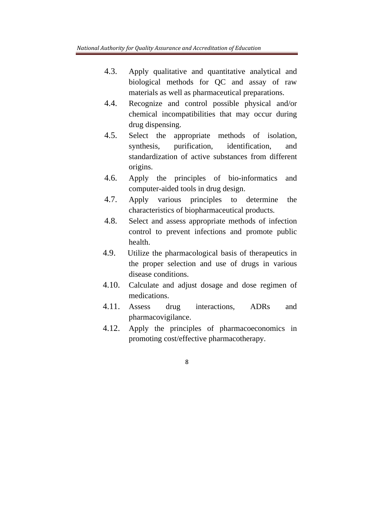- 4.3. Apply qualitative and quantitative analytical and biological methods for QC and assay of raw materials as well as pharmaceutical preparations.
- 4.4. Recognize and control possible physical and/or chemical incompatibilities that may occur during drug dispensing.
- 4.5. Select the appropriate methods of isolation, synthesis, purification, identification, and standardization of active substances from different origins.
- 4.6. Apply the principles of bio-informatics and computer-aided tools in drug design.
- 4.7. Apply various principles to determine the characteristics of biopharmaceutical products.
- 4.8. Select and assess appropriate methods of infection control to prevent infections and promote public health.
- 4.9. Utilize the pharmacological basis of therapeutics in the proper selection and use of drugs in various disease conditions.
- 4.10. Calculate and adjust dosage and dose regimen of medications.
- 4.11. Assess drug interactions, ADRs and pharmacovigilance.
- 4.12. Apply the principles of pharmacoeconomics in promoting cost/effective pharmacotherapy.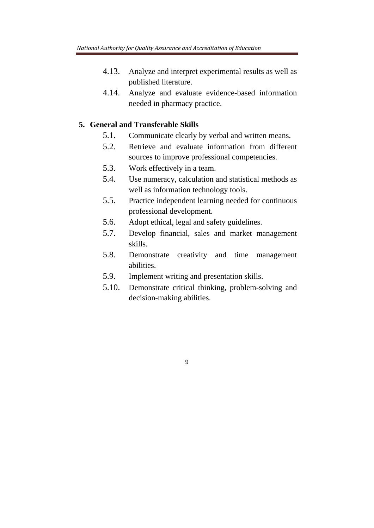- 4.13. Analyze and interpret experimental results as well as published literature.
- 4.14. Analyze and evaluate evidence-based information needed in pharmacy practice.

## **5. General and Transferable Skills**

- 5.1. Communicate clearly by verbal and written means.
- 5.2. Retrieve and evaluate information from different sources to improve professional competencies.
- 5.3. Work effectively in a team.
- 5.4. Use numeracy, calculation and statistical methods as well as information technology tools.
- 5.5. Practice independent learning needed for continuous professional development.
- 5.6. Adopt ethical, legal and safety guidelines.
- 5.7. Develop financial, sales and market management skills.
- 5.8. Demonstrate creativity and time management abilities.
- 5.9. Implement writing and presentation skills.

9

5.10. Demonstrate critical thinking, problem-solving and decision-making abilities.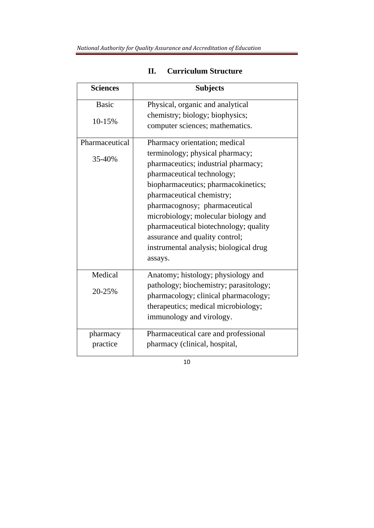| <b>Sciences</b> | <b>Subjects</b>                        |
|-----------------|----------------------------------------|
| <b>Basic</b>    | Physical, organic and analytical       |
| 10-15%          | chemistry; biology; biophysics;        |
|                 | computer sciences; mathematics.        |
| Pharmaceutical  | Pharmacy orientation; medical          |
| 35-40%          | terminology; physical pharmacy;        |
|                 | pharmaceutics; industrial pharmacy;    |
|                 | pharmaceutical technology;             |
|                 | biopharmaceutics; pharmacokinetics;    |
|                 | pharmaceutical chemistry;              |
|                 | pharmacognosy; pharmaceutical          |
|                 | microbiology; molecular biology and    |
|                 | pharmaceutical biotechnology; quality  |
|                 | assurance and quality control;         |
|                 | instrumental analysis; biological drug |
|                 | assays.                                |
| Medical         | Anatomy; histology; physiology and     |
| 20-25%          | pathology; biochemistry; parasitology; |
|                 | pharmacology; clinical pharmacology;   |
|                 | therapeutics; medical microbiology;    |
|                 | immunology and virology.               |
| pharmacy        | Pharmaceutical care and professional   |
| practice        | pharmacy (clinical, hospital,          |

# **II. Curriculum Structure**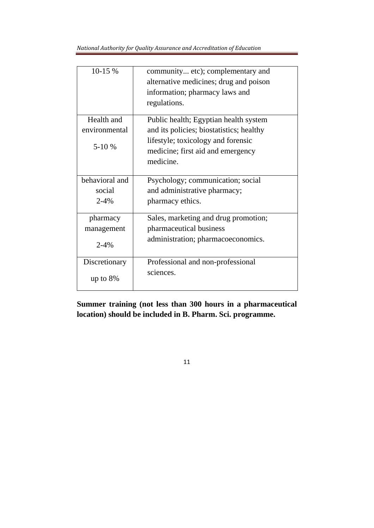*National Authority for Quality Assurance and Accreditation of Education* 

| 10-15 %                                | community etc); complementary and<br>alternative medicines; drug and poison<br>information; pharmacy laws and<br>regulations.                                             |
|----------------------------------------|---------------------------------------------------------------------------------------------------------------------------------------------------------------------------|
| Health and<br>environmental<br>$5-10%$ | Public health; Egyptian health system<br>and its policies; biostatistics; healthy<br>lifestyle; toxicology and forensic<br>medicine; first aid and emergency<br>medicine. |
| behavioral and                         | Psychology; communication; social                                                                                                                                         |
| social                                 | and administrative pharmacy;                                                                                                                                              |
| $2 - 4%$                               | pharmacy ethics.                                                                                                                                                          |
| pharmacy                               | Sales, marketing and drug promotion;                                                                                                                                      |
| management                             | pharmaceutical business                                                                                                                                                   |
| $2 - 4%$                               | administration; pharmacoeconomics.                                                                                                                                        |
| Discretionary                          | Professional and non-professional                                                                                                                                         |
| up to $8\%$                            | sciences.                                                                                                                                                                 |

**Summer training (not less than 300 hours in a pharmaceutical location) should be included in B. Pharm. Sci. programme.**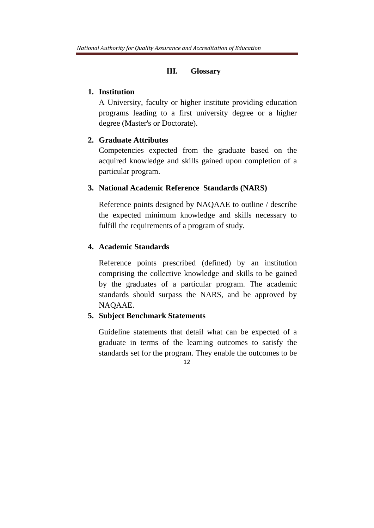#### **III. Glossary**

#### **1. Institution**

A University, faculty or higher institute providing education programs leading to a first university degree or a higher degree (Master's or Doctorate).

#### **2. Graduate Attributes**

Competencies expected from the graduate based on the acquired knowledge and skills gained upon completion of a particular program.

#### **3. National Academic Reference Standards (NARS)**

Reference points designed by NAQAAE to outline / describe the expected minimum knowledge and skills necessary to fulfill the requirements of a program of study*.*

## **4. Academic Standards**

Reference points prescribed (defined) by an institution comprising the collective knowledge and skills to be gained by the graduates of a particular program. The academic standards should surpass the NARS, and be approved by NAQAAE.

#### **5. Subject Benchmark Statements**

12 Guideline statements that detail what can be expected of a graduate in terms of the learning outcomes to satisfy the standards set for the program. They enable the outcomes to be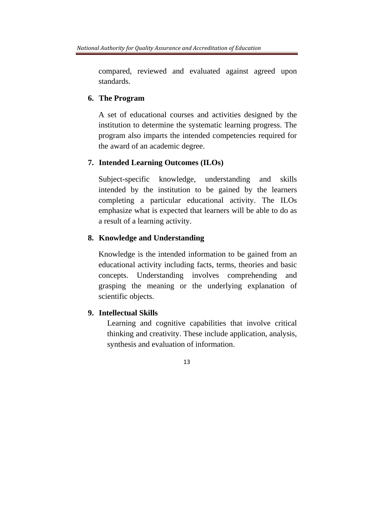compared, reviewed and evaluated against agreed upon standards.

### **6. The Program**

A set of educational courses and activities designed by the institution to determine the systematic learning progress. The program also imparts the intended competencies required for the award of an academic degree.

## **7. Intended Learning Outcomes (ILOs)**

Subject-specific knowledge, understanding and skills intended by the institution to be gained by the learners completing a particular educational activity. The ILOs emphasize what is expected that learners will be able to do as a result of a learning activity.

## **8. Knowledge and Understanding**

Knowledge is the intended information to be gained from an educational activity including facts, terms, theories and basic concepts. Understanding involves comprehending and grasping the meaning or the underlying explanation of scientific objects.

## **9. Intellectual Skills**

Learning and cognitive capabilities that involve critical thinking and creativity. These include application, analysis, synthesis and evaluation of information.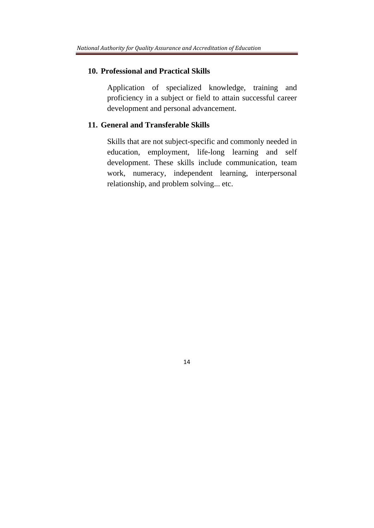#### **10. Professional and Practical Skills**

Application of specialized knowledge, training and proficiency in a subject or field to attain successful career development and personal advancement.

## **11. General and Transferable Skills**

Skills that are not subject-specific and commonly needed in education, employment, life-long learning and self development. These skills include communication, team work, numeracy, independent learning, interpersonal relationship, and problem solving... etc.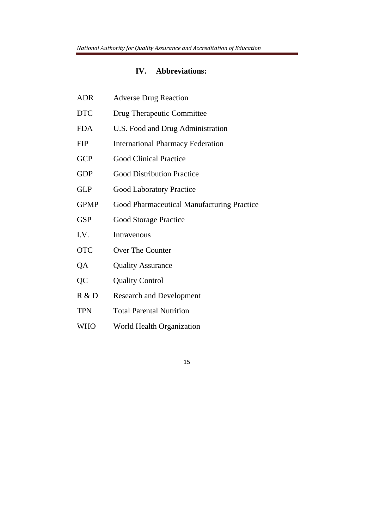#### **IV. Abbreviations:**

- ADR Adverse Drug Reaction
- DTC Drug Therapeutic Committee
- FDA U.S. Food and Drug Administration
- FIP International Pharmacy Federation
- GCP Good Clinical Practice
- GDP Good Distribution Practice
- GLP Good Laboratory Practice
- GPMP Good Pharmaceutical Manufacturing Practice
- GSP Good Storage Practice
- I.V. Intravenous
- OTC Over The Counter
- QA Quality Assurance
- QC Quality Control
- R & D Research and Development
- TPN Total Parental Nutrition
- WHO World Health Organization
	- 15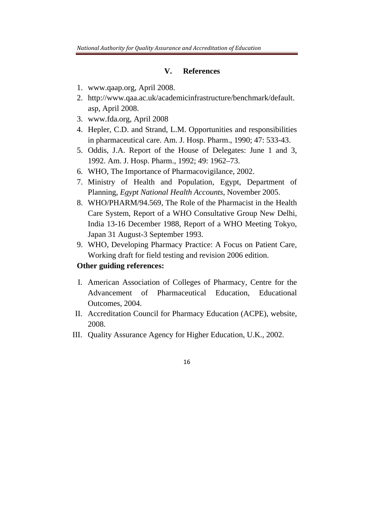#### **V. References**

- 1. www.qaap.org, April 2008.
- 2. http://www.qaa.ac.uk/academicinfrastructure/benchmark/default. asp, April 2008.
- 3. www.fda.org, April 2008
- 4. Hepler, C.D. and Strand, L.M. Opportunities and responsibilities in pharmaceutical care. Am. J. Hosp. Pharm., 1990; 47: 533-43.
- 5. Oddis, J.A. Report of the House of Delegates: June 1 and 3, 1992. Am. J. Hosp. Pharm., 1992; 49: 1962–73.
- 6. WHO, The Importance of Pharmacovigilance, 2002.
- 7. Ministry of Health and Population, Egypt, Department of Planning, *Egypt National Health Accounts*, November 2005.
- 8. WHO/PHARM/94.569, The Role of the Pharmacist in the Health Care System, Report of a WHO Consultative Group New Delhi, India 13-16 December 1988, Report of a WHO Meeting Tokyo, Japan 31 August-3 September 1993.
- 9. WHO, Developing Pharmacy Practice: A Focus on Patient Care, Working draft for field testing and revision 2006 edition.

## **Other guiding references:**

- I. American Association of Colleges of Pharmacy, Centre for the Advancement of Pharmaceutical Education, Educational Outcomes, 2004.
- II. Accreditation Council for Pharmacy Education (ACPE), website, 2008.
- III. Quality Assurance Agency for Higher Education, U.K., 2002.